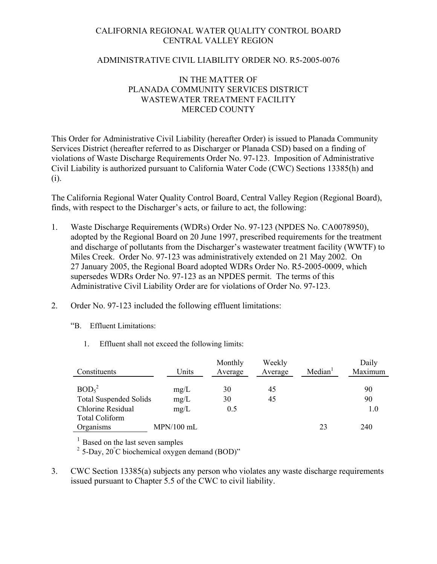# CALIFORNIA REGIONAL WATER QUALITY CONTROL BOARD CENTRAL VALLEY REGION

### ADMINISTRATIVE CIVIL LIABILITY ORDER NO. R5-2005-0076

# IN THE MATTER OF PLANADA COMMUNITY SERVICES DISTRICT WASTEWATER TREATMENT FACILITY MERCED COUNTY

This Order for Administrative Civil Liability (hereafter Order) is issued to Planada Community Services District (hereafter referred to as Discharger or Planada CSD) based on a finding of violations of Waste Discharge Requirements Order No. 97-123. Imposition of Administrative Civil Liability is authorized pursuant to California Water Code (CWC) Sections 13385(h) and (i).

The California Regional Water Quality Control Board, Central Valley Region (Regional Board), finds, with respect to the Discharger's acts, or failure to act, the following:

- 1. Waste Discharge Requirements (WDRs) Order No. 97-123 (NPDES No. CA0078950), adopted by the Regional Board on 20 June 1997, prescribed requirements for the treatment and discharge of pollutants from the Discharger's wastewater treatment facility (WWTF) to Miles Creek. Order No. 97-123 was administratively extended on 21 May 2002. On 27 January 2005, the Regional Board adopted WDRs Order No. R5-2005-0009, which supersedes WDRs Order No. 97-123 as an NPDES permit. The terms of this Administrative Civil Liability Order are for violations of Order No. 97-123.
- 2. Order No. 97-123 included the following effluent limitations:
	- "B. Effluent Limitations:
		- 1. Effluent shall not exceed the following limits:

| Constituents                  | Units        | Monthly<br>Average | Weekly<br>Average | Median <sup>1</sup> | Daily<br>Maximum |
|-------------------------------|--------------|--------------------|-------------------|---------------------|------------------|
| BOD <sub>5</sub> <sup>2</sup> | mg/L         | 30                 | 45                |                     | 90               |
| <b>Total Suspended Solids</b> | mg/L         | 30                 | 45                |                     | 90               |
| Chlorine Residual             | mg/L         | 0.5                |                   |                     | 1.0              |
| <b>Total Coliform</b>         |              |                    |                   |                     |                  |
| Organisms                     | $MPN/100$ mL |                    |                   | 23                  | 240              |

Based on the last seven samples

 $2^2$  5-Day, 20 $^{\circ}$ C biochemical oxygen demand (BOD)"

3. CWC Section 13385(a) subjects any person who violates any waste discharge requirements issued pursuant to Chapter 5.5 of the CWC to civil liability.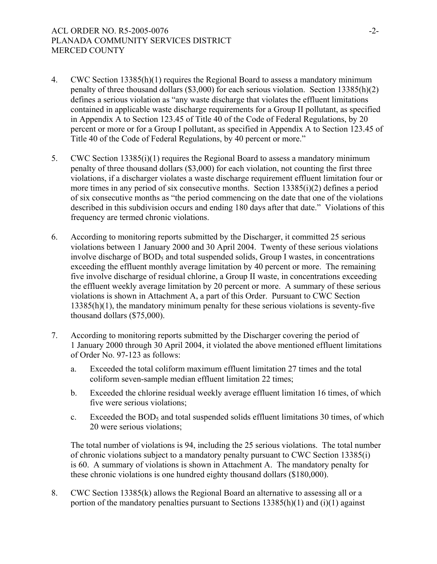- 4. CWC Section 13385(h)(1) requires the Regional Board to assess a mandatory minimum penalty of three thousand dollars (\$3,000) for each serious violation. Section 13385(h)(2) defines a serious violation as "any waste discharge that violates the effluent limitations contained in applicable waste discharge requirements for a Group II pollutant, as specified in Appendix A to Section 123.45 of Title 40 of the Code of Federal Regulations, by 20 percent or more or for a Group I pollutant, as specified in Appendix A to Section 123.45 of Title 40 of the Code of Federal Regulations, by 40 percent or more."
- 5. CWC Section 13385(i)(1) requires the Regional Board to assess a mandatory minimum penalty of three thousand dollars (\$3,000) for each violation, not counting the first three violations, if a discharger violates a waste discharge requirement effluent limitation four or more times in any period of six consecutive months. Section 13385(i)(2) defines a period of six consecutive months as "the period commencing on the date that one of the violations described in this subdivision occurs and ending 180 days after that date." Violations of this frequency are termed chronic violations.
- 6. According to monitoring reports submitted by the Discharger, it committed 25 serious violations between 1 January 2000 and 30 April 2004. Twenty of these serious violations involve discharge of BOD<sub>5</sub> and total suspended solids, Group I wastes, in concentrations exceeding the effluent monthly average limitation by 40 percent or more. The remaining five involve discharge of residual chlorine, a Group II waste, in concentrations exceeding the effluent weekly average limitation by 20 percent or more. A summary of these serious violations is shown in Attachment A, a part of this Order. Pursuant to CWC Section 13385(h)(1), the mandatory minimum penalty for these serious violations is seventy-five thousand dollars (\$75,000).
- 7. According to monitoring reports submitted by the Discharger covering the period of 1 January 2000 through 30 April 2004, it violated the above mentioned effluent limitations of Order No. 97-123 as follows:
	- a. Exceeded the total coliform maximum effluent limitation 27 times and the total coliform seven-sample median effluent limitation 22 times;
	- b. Exceeded the chlorine residual weekly average effluent limitation 16 times, of which five were serious violations;
	- c. Exceeded the  $BOD_5$  and total suspended solids effluent limitations 30 times, of which 20 were serious violations;

The total number of violations is 94, including the 25 serious violations. The total number of chronic violations subject to a mandatory penalty pursuant to CWC Section 13385(i) is 60. A summary of violations is shown in Attachment A.The mandatory penalty for these chronic violations is one hundred eighty thousand dollars (\$180,000).

8. CWC Section 13385(k) allows the Regional Board an alternative to assessing all or a portion of the mandatory penalties pursuant to Sections 13385(h)(1) and (i)(1) against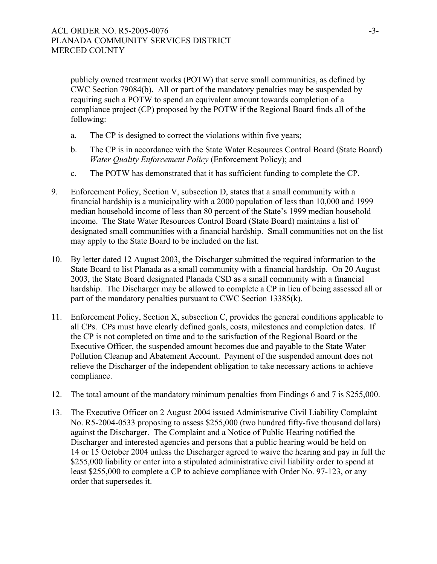publicly owned treatment works (POTW) that serve small communities, as defined by CWC Section 79084(b). All or part of the mandatory penalties may be suspended by requiring such a POTW to spend an equivalent amount towards completion of a compliance project (CP) proposed by the POTW if the Regional Board finds all of the following:

- a. The CP is designed to correct the violations within five years;
- b. The CP is in accordance with the State Water Resources Control Board (State Board) *Water Quality Enforcement Policy* (Enforcement Policy); and
- c. The POTW has demonstrated that it has sufficient funding to complete the CP.
- 9. Enforcement Policy, Section V, subsection D, states that a small community with a financial hardship is a municipality with a 2000 population of less than 10,000 and 1999 median household income of less than 80 percent of the State's 1999 median household income. The State Water Resources Control Board (State Board) maintains a list of designated small communities with a financial hardship. Small communities not on the list may apply to the State Board to be included on the list.
- 10. By letter dated 12 August 2003, the Discharger submitted the required information to the State Board to list Planada as a small community with a financial hardship. On 20 August 2003, the State Board designated Planada CSD as a small community with a financial hardship. The Discharger may be allowed to complete a CP in lieu of being assessed all or part of the mandatory penalties pursuant to CWC Section 13385(k).
- 11. Enforcement Policy, Section X, subsection C, provides the general conditions applicable to all CPs. CPs must have clearly defined goals, costs, milestones and completion dates. If the CP is not completed on time and to the satisfaction of the Regional Board or the Executive Officer, the suspended amount becomes due and payable to the State Water Pollution Cleanup and Abatement Account. Payment of the suspended amount does not relieve the Discharger of the independent obligation to take necessary actions to achieve compliance.
- 12. The total amount of the mandatory minimum penalties from Findings 6 and 7 is \$255,000.
- 13. The Executive Officer on 2 August 2004 issued Administrative Civil Liability Complaint No. R5-2004-0533 proposing to assess \$255,000 (two hundred fifty-five thousand dollars) against the Discharger. The Complaint and a Notice of Public Hearing notified the Discharger and interested agencies and persons that a public hearing would be held on 14 or 15 October 2004 unless the Discharger agreed to waive the hearing and pay in full the \$255,000 liability or enter into a stipulated administrative civil liability order to spend at least \$255,000 to complete a CP to achieve compliance with Order No. 97-123, or any order that supersedes it.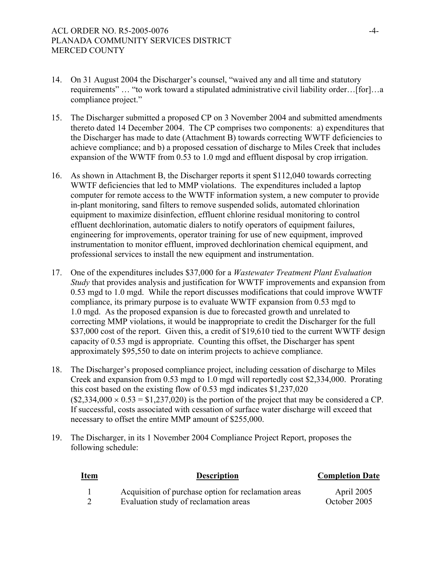- 14. On 31 August 2004 the Discharger's counsel, "waived any and all time and statutory requirements" … "to work toward a stipulated administrative civil liability order…[for]…a compliance project."
- 15. The Discharger submitted a proposed CP on 3 November 2004 and submitted amendments thereto dated 14 December 2004. The CP comprises two components: a) expenditures that the Discharger has made to date (Attachment B) towards correcting WWTF deficiencies to achieve compliance; and b) a proposed cessation of discharge to Miles Creek that includes expansion of the WWTF from 0.53 to 1.0 mgd and effluent disposal by crop irrigation.
- 16. As shown in Attachment B, the Discharger reports it spent \$112,040 towards correcting WWTF deficiencies that led to MMP violations. The expenditures included a laptop computer for remote access to the WWTF information system, a new computer to provide in-plant monitoring, sand filters to remove suspended solids, automated chlorination equipment to maximize disinfection, effluent chlorine residual monitoring to control effluent dechlorination, automatic dialers to notify operators of equipment failures, engineering for improvements, operator training for use of new equipment, improved instrumentation to monitor effluent, improved dechlorination chemical equipment, and professional services to install the new equipment and instrumentation.
- 17. One of the expenditures includes \$37,000 for a *Wastewater Treatment Plant Evaluation Study* that provides analysis and justification for WWTF improvements and expansion from 0.53 mgd to 1.0 mgd. While the report discusses modifications that could improve WWTF compliance, its primary purpose is to evaluate WWTF expansion from 0.53 mgd to 1.0 mgd. As the proposed expansion is due to forecasted growth and unrelated to correcting MMP violations, it would be inappropriate to credit the Discharger for the full \$37,000 cost of the report. Given this, a credit of \$19,610 tied to the current WWTF design capacity of 0.53 mgd is appropriate. Counting this offset, the Discharger has spent approximately \$95,550 to date on interim projects to achieve compliance.
- 18. The Discharger's proposed compliance project, including cessation of discharge to Miles Creek and expansion from 0.53 mgd to 1.0 mgd will reportedly cost \$2,334,000. Prorating this cost based on the existing flow of 0.53 mgd indicates \$1,237,020  $($2,334,000 \times 0.53 = $1,237,020)$  is the portion of the project that may be considered a CP. If successful, costs associated with cessation of surface water discharge will exceed that necessary to offset the entire MMP amount of \$255,000.
- 19. The Discharger, in its 1 November 2004 Compliance Project Report, proposes the following schedule:

| <b>Item</b> | <b>Description</b>                                   | <b>Completion Date</b> |
|-------------|------------------------------------------------------|------------------------|
|             | Acquisition of purchase option for reclamation areas | April 2005             |

2 Evaluation study of reclamation areas October 2005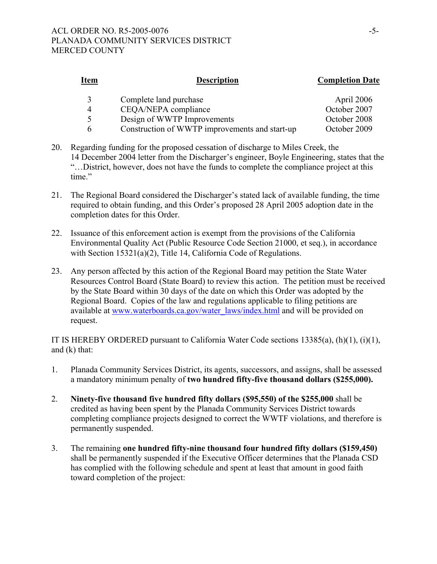| <b>Description</b>                             | <b>Completion Date</b> |
|------------------------------------------------|------------------------|
| Complete land purchase                         | April 2006             |
| CEQA/NEPA compliance                           | October 2007           |
| Design of WWTP Improvements                    | October 2008           |
| Construction of WWTP improvements and start-up | October 2009           |
|                                                |                        |

- 20. Regarding funding for the proposed cessation of discharge to Miles Creek, the 14 December 2004 letter from the Discharger's engineer, Boyle Engineering, states that the "…District, however, does not have the funds to complete the compliance project at this time."
- 21. The Regional Board considered the Discharger's stated lack of available funding, the time required to obtain funding, and this Order's proposed 28 April 2005 adoption date in the completion dates for this Order.
- 22. Issuance of this enforcement action is exempt from the provisions of the California Environmental Quality Act (Public Resource Code Section 21000, et seq.), in accordance with Section 15321(a)(2), Title 14, California Code of Regulations.
- 23. Any person affected by this action of the Regional Board may petition the State Water Resources Control Board (State Board) to review this action. The petition must be received by the State Board within 30 days of the date on which this Order was adopted by the Regional Board. Copies of the law and regulations applicable to filing petitions are available at www.waterboards.ca.gov/water\_laws/index.html and will be provided on request.

IT IS HEREBY ORDERED pursuant to California Water Code sections 13385(a), (h)(1), (i)(1), and (k) that:

- 1. Planada Community Services District, its agents, successors, and assigns, shall be assessed a mandatory minimum penalty of **two hundred fifty-five thousand dollars (\$255,000).**
- 2. **Ninety-five thousand five hundred fifty dollars (\$95,550) of the \$255,000** shall be credited as having been spent by the Planada Community Services District towards completing compliance projects designed to correct the WWTF violations, and therefore is permanently suspended.
- 3. The remaining **one hundred fifty-nine thousand four hundred fifty dollars (\$159,450)** shall be permanently suspended if the Executive Officer determines that the Planada CSD has complied with the following schedule and spent at least that amount in good faith toward completion of the project: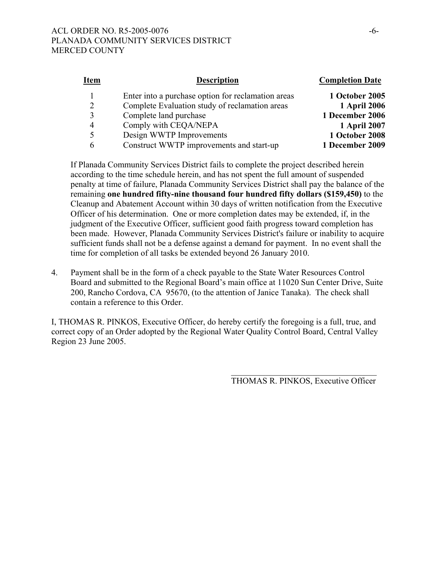# ACL ORDER NO. R5-2005-0076 -6-PLANADA COMMUNITY SERVICES DISTRICT MERCED COUNTY

| <u>Item</u> | <b>Description</b>                                 | <b>Completion Date</b> |
|-------------|----------------------------------------------------|------------------------|
|             | Enter into a purchase option for reclamation areas | 1 October 2005         |
|             | Complete Evaluation study of reclamation areas     | <b>1 April 2006</b>    |
|             | Complete land purchase                             | 1 December 2006        |
|             | Comply with CEQA/NEPA                              | 1 April 2007           |
|             | Design WWTP Improvements                           | 1 October 2008         |
|             | Construct WWTP improvements and start-up           | 1 December 2009        |
|             |                                                    |                        |

If Planada Community Services District fails to complete the project described herein according to the time schedule herein, and has not spent the full amount of suspended penalty at time of failure, Planada Community Services District shall pay the balance of the remaining **one hundred fifty-nine thousand four hundred fifty dollars (\$159,450)** to the Cleanup and Abatement Account within 30 days of written notification from the Executive Officer of his determination. One or more completion dates may be extended, if, in the judgment of the Executive Officer, sufficient good faith progress toward completion has been made. However, Planada Community Services District's failure or inability to acquire sufficient funds shall not be a defense against a demand for payment. In no event shall the time for completion of all tasks be extended beyond 26 January 2010.

4. Payment shall be in the form of a check payable to the State Water Resources Control Board and submitted to the Regional Board's main office at 11020 Sun Center Drive, Suite 200, Rancho Cordova, CA 95670, (to the attention of Janice Tanaka). The check shall contain a reference to this Order.

I, THOMAS R. PINKOS, Executive Officer, do hereby certify the foregoing is a full, true, and correct copy of an Order adopted by the Regional Water Quality Control Board, Central Valley Region 23 June 2005.

> $\mathcal{L}_\text{max}$ THOMAS R. PINKOS, Executive Officer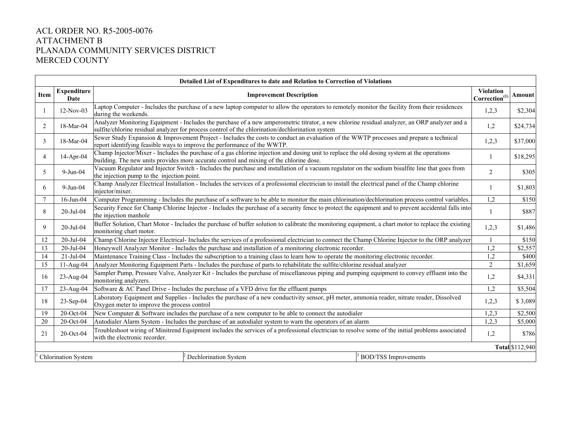# ACL ORDER NO. R5-2005-0076 ATTACHMENT B PLANADA COMMUNITY SERVICES DISTRICT MERCED COUNTY

|                | Detailed List of Expenditures to date and Relation to Correction of Violations |                                                                                                                                                                                                                                                   |                             |                                            |                        |  |  |  |  |  |  |
|----------------|--------------------------------------------------------------------------------|---------------------------------------------------------------------------------------------------------------------------------------------------------------------------------------------------------------------------------------------------|-----------------------------|--------------------------------------------|------------------------|--|--|--|--|--|--|
| Item           | <b>Expenditure</b><br>Date                                                     | <b>Improvement Description</b>                                                                                                                                                                                                                    |                             | <b>Violation</b><br>$\rm Correction^{(1)}$ | Amount                 |  |  |  |  |  |  |
|                | $12-Nov-03$                                                                    | Laptop Computer - Includes the purchase of a new laptop computer to allow the operators to remotely monitor the facility from their residences<br>during the weekends.                                                                            |                             | 1,2,3                                      | \$2,304                |  |  |  |  |  |  |
| 2              | 18-Mar-04                                                                      | Analyzer Monitoring Equipment - Includes the purchase of a new amperometric titrator, a new chlorine residual analyzer, an ORP analyzer and a<br>sulfite/chlorine residual analyzer for process control of the chlorination/dechlorination system |                             | 1,2                                        | \$24,734               |  |  |  |  |  |  |
| 3              | 18-Mar-04                                                                      | Sewer Study Expansion & Improvement Project - Includes the costs to conduct an evaluation of the WWTP processes and prepare a technical<br>report identifying feasible ways to improve the performance of the WWTP.                               |                             | 1,2,3                                      | \$37,000               |  |  |  |  |  |  |
| $\overline{4}$ | 14-Apr-04                                                                      | Champ Injector/Mixer - Includes the purchase of a gas chlorine injection and dosing unit to replace the old dosing system at the operations<br>building. The new units provides more accurate control and mixing of the chlorine dose.            |                             |                                            |                        |  |  |  |  |  |  |
| 5              | $9-Jun-04$                                                                     | Vacuum Regulator and Injector Switch - Includes the purchase and installation of a vacuum regulator on the sodium bisulfite line that goes from<br>the injection pump to the injection point.                                                     |                             |                                            |                        |  |  |  |  |  |  |
| 6              | $9-Jun-04$                                                                     | Champ Analyzer Electrical Installation - Includes the services of a professional electrician to install the electrical panel of the Champ chlorine<br>injector/mixer.                                                                             |                             |                                            |                        |  |  |  |  |  |  |
| $\tau$         | $16$ -Jun-04                                                                   | Computer Programming - Includes the purchase of a software to be able to monitor the main chlorination/dechlorination process control variables.                                                                                                  |                             |                                            |                        |  |  |  |  |  |  |
| 8              | 20-Jul-04                                                                      | Security Fence for Champ Chlorine Injector - Includes the purchase of a security fence to protect the equipment and to prevent accidental falls into<br>the injection manhole                                                                     |                             |                                            |                        |  |  |  |  |  |  |
| 9              | 20-Jul-04                                                                      | Buffer Solution, Chart Motor - Includes the purchase of buffer solution to calibrate the monitoring equipment, a chart motor to replace the existing<br>monitoring chart motor.                                                                   |                             |                                            |                        |  |  |  |  |  |  |
| 12             | 20-Jul-04                                                                      | Champ Chlorine Injector Electrical-Includes the services of a professional electrician to connect the Champ Chlorine Injector to the ORP analyzer                                                                                                 |                             |                                            | \$150                  |  |  |  |  |  |  |
| 13             | 20-Jul-04                                                                      | Honeywell Analyzer Monitor - Includes the purchase and installation of a monitoring electronic recorder.                                                                                                                                          |                             | 1,2                                        | \$2,557                |  |  |  |  |  |  |
| 14             | $21-Jul-04$                                                                    | Maintenance Training Class - Includes the subscription to a training class to learn how to operate the monitoring electronic recorder.                                                                                                            |                             | 1,2                                        | \$400                  |  |  |  |  |  |  |
| 15             | 11-Aug-04                                                                      | Analyzer Monitoring Equipment Parts - Includes the purchase of parts to rehabilitate the sulfite/chlorine residual analyzer                                                                                                                       |                             | $\overline{2}$                             | \$1,659                |  |  |  |  |  |  |
| 16             | $23$ -Aug-04                                                                   | Sampler Pump, Pressure Valve, Analyzer Kit - Includes the purchase of miscellaneous piping and pumping equipment to convey effluent into the<br>monitoring analyzers.                                                                             |                             | 1,2                                        | \$4,331                |  |  |  |  |  |  |
| 17             | 23-Aug-04                                                                      | Software & AC Panel Drive - Includes the purchase of a VFD drive for the effluent pumps                                                                                                                                                           |                             | 1,2                                        | \$5,504                |  |  |  |  |  |  |
| 18             | 23-Sep-04                                                                      | Laboratory Equipment and Supplies - Includes the purchase of a new conductivity sensor, pH meter, ammonia reader, nitrate reader, Dissolved<br>Oxygen meter to improve the process control                                                        |                             | 1,2,3                                      | \$3,089                |  |  |  |  |  |  |
| 19             | 20-Oct-04                                                                      | New Computer & Software includes the purchase of a new computer to be able to connect the autodialer                                                                                                                                              |                             | 1,2,3                                      | \$2,500                |  |  |  |  |  |  |
| 20             | $20$ -Oct-04                                                                   | Autodialer Alarm System - Includes the purchase of an autodialer system to warn the operators of an alarm                                                                                                                                         |                             | 1,2,3                                      | \$5,000                |  |  |  |  |  |  |
| 21             | 20-Oct-04                                                                      | Troubleshoot wiring of Minitrend Equipment includes the services of a professional electrician to resolve some of the initial problems associated<br>with the electronic recorder.                                                                |                             | 1,2                                        | \$786                  |  |  |  |  |  |  |
|                |                                                                                |                                                                                                                                                                                                                                                   |                             |                                            | <b>Total \$112,940</b> |  |  |  |  |  |  |
|                | Chlorination System                                                            | Dechlorination System                                                                                                                                                                                                                             | <b>BOD/TSS Improvements</b> |                                            |                        |  |  |  |  |  |  |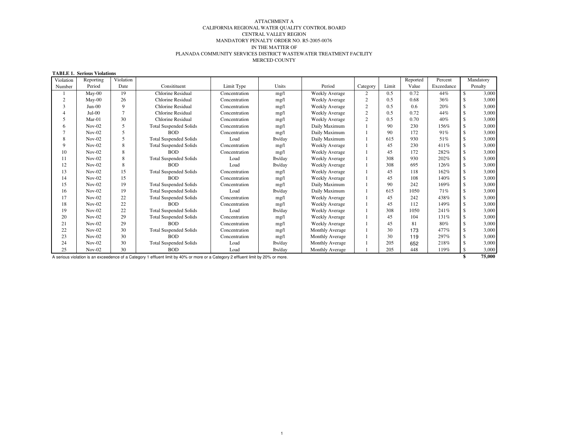#### IN THE MATTER OF PLANADA COMMUNITY SERVICES DISTRICT WASTEWATER TREATMENT FACILITY MERCED COUNTY ATTACHMENT A CALIFORNIA REGIONAL WATER QUALITY CONTROL BOARD CENTRAL VALLEY REGION MANDATORY PENALTY ORDER NO. R5-2005-0076

#### **TABLE 1. Serious Violations**

| Violation    | Reporting | Violation      |                               |               |         |                       |                |       | Reported | Percent    |                    | Mandatory |
|--------------|-----------|----------------|-------------------------------|---------------|---------|-----------------------|----------------|-------|----------|------------|--------------------|-----------|
| Number       | Period    | Date           | Consitituent                  | Limit Type    | Units   | Period                | Category       | Limit | Value    | Exceedance |                    | Penalty   |
|              | $May-00$  | 19             | Chlorine Residual             | Concentration | mg/l    | <b>Weekly Average</b> | $\overline{2}$ | 0.5   | 0.72     | 44%        | \$                 | 3,000     |
| 2            | May-00    | 26             | Chlorine Residual             | Concentration | mg/l    | <b>Weekly Average</b> | $\overline{c}$ | 0.5   | 0.68     | 36%        | <sup>\$</sup>      | 3,000     |
| $\mathbf{3}$ | $Jun-00$  | 9              | Chlorine Residual             | Concentration | mg/l    | <b>Weekly Average</b> | $\overline{2}$ | 0.5   | 0.6      | 20%        | <sup>\$</sup>      | 3,000     |
|              | $Jul-00$  | $\overline{7}$ | Chlorine Residual             | Concentration | mg/l    | Weekly Average        | $\overline{c}$ | 0.5   | 0.72     | 44%        |                    | 3,000     |
| 5            | $Mar-01$  | 30             | Chlorine Residual             | Concentration | mg/l    | <b>Weekly Average</b> | $\overline{2}$ | 0.5   | 0.70     | 40%        | <sup>\$</sup>      | 3,000     |
| 6            | $Nov-02$  | 5              | <b>Total Suspended Solids</b> | Concentration | mg/l    | Daily Maximum         |                | 90    | 230      | 156%       | $\mathbf{\hat{S}}$ | 3,000     |
|              | $Nov-02$  | 5              | <b>BOD</b>                    | Concentration | mg/l    | Daily Maximum         |                | 90    | 172      | 91%        |                    | 3,000     |
| 8            | $Nov-02$  | 5              | <b>Total Suspended Solids</b> | Load          | lbs/day | Daily Maximum         |                | 615   | 930      | 51%        | \$.                | 3,000     |
| 9            | $Nov-02$  | 8              | <b>Total Suspended Solids</b> | Concentration | mg/l    | <b>Weekly Average</b> |                | 45    | 230      | 411%       | <sup>\$</sup>      | 3,000     |
| 10           | $Nov-02$  | 8              | <b>BOD</b>                    | Concentration | mg/l    | <b>Weekly Average</b> |                | 45    | 172      | 282%       | <sup>\$</sup>      | 3,000     |
| 11           | $Nov-02$  | 8              | <b>Total Suspended Solids</b> | Load          | lbs/day | <b>Weekly Average</b> |                | 308   | 930      | 202%       |                    | 3,000     |
| 12           | $Nov-02$  | 8              | <b>BOD</b>                    | Load          | lbs/day | <b>Weekly Average</b> |                | 308   | 695      | 126%       | \$.                | 3,000     |
| 13           | $Nov-02$  | 15             | <b>Total Suspended Solids</b> | Concentration | mg/l    | <b>Weekly Average</b> |                | 45    | 118      | 162%       | £.                 | 3,000     |
| 14           | $Nov-02$  | 15             | <b>BOD</b>                    | Concentration | mg/l    | <b>Weekly Average</b> |                | 45    | 108      | 140%       |                    | 3,000     |
| 15           | $Nov-02$  | 19             | <b>Total Suspended Solids</b> | Concentration | mg/l    | Daily Maximum         |                | 90    | 242      | 169%       |                    | 3,000     |
| 16           | $Nov-02$  | 19             | <b>Total Suspended Solids</b> | Load          | lbs/day | Daily Maximum         |                | 615   | 1050     | 71%        | \$                 | 3,000     |
| 17           | $Nov-02$  | 22             | <b>Total Suspended Solids</b> | Concentration | mg/l    | <b>Weekly Average</b> |                | 45    | 242      | 438%       | £.                 | 3,000     |
| 18           | $Nov-02$  | 22             | <b>BOD</b>                    | Concentration | mg/l    | <b>Weekly Average</b> |                | 45    | 112      | 149%       | <sup>\$</sup>      | 3,000     |
| 19           | $Nov-02$  | 22             | <b>Total Suspended Solids</b> | Load          | lbs/day | <b>Weekly Average</b> |                | 308   | 1050     | 241%       |                    | 3,000     |
| 20           | $Nov-02$  | 29             | <b>Total Suspended Solids</b> | Concentration | mg/l    | <b>Weekly Average</b> |                | 45    | 104      | 131%       | \$                 | 3,000     |
| 21           | $Nov-02$  | 29             | <b>BOD</b>                    | Concentration | mg/l    | <b>Weekly Average</b> |                | 45    | 81       | 80%        | \$                 | 3,000     |
| 22           | $Nov-02$  | 30             | <b>Total Suspended Solids</b> | Concentration | mg/l    | Monthly Average       |                | 30    | 173      | 477%       |                    | 3,000     |
| 23           | $Nov-02$  | 30             | <b>BOD</b>                    | Concentration | mg/l    | Monthly Average       |                | 30    | 119      | 297%       |                    | 3,000     |
| 24           | $Nov-02$  | 30             | <b>Total Suspended Solids</b> | Load          | lbs/day | Monthly Average       |                | 205   | 652      | 218%       |                    | 3,000     |
| 25           | $Nov-02$  | 30             | <b>BOD</b>                    | Load          | lbs/day | Monthly Average       |                | 205   | 448      | 119%       |                    | 3,000     |

A serious violation is an exceedence of <sup>a</sup> Category <sup>1</sup> effluent limit by 40% or more or <sup>a</sup> Category <sup>2</sup> effluent limit by 20% or more. **\$ 75,000**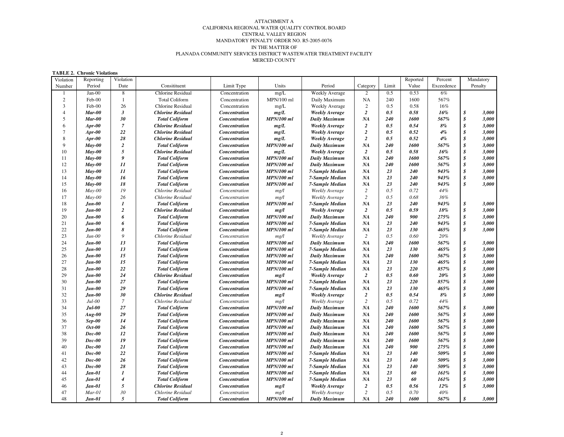#### IN THE MATTER OF PLANADA COMMUNITY SERVICES DISTRICT WASTEWATER TREATMENT FACILITY MERCED COUNTY ATTACHMENT A CALIFORNIA REGIONAL WATER QUALITY CONTROL BOARD CENTRAL VALLEY REGION MANDATORY PENALTY ORDER NO. R5-2005-0076

| Violation      | Reporting     | Violation        |                          |                      |                   |                       |                  |       | Reported   | Percent    |                  | Mandatory |
|----------------|---------------|------------------|--------------------------|----------------------|-------------------|-----------------------|------------------|-------|------------|------------|------------------|-----------|
| Number         | Period        | Date             | Consitituent             | Limit Type           | Units             | Period                | Category         | Limit | Value      | Exceedence |                  | Penalty   |
| $\mathbf{1}$   | $Jan-00$      | 8                | <b>Chlorine Residual</b> | Concentration        | mg/L              | Weekly Average        | 2                | 0.5   | 0.53       | $6\%$      |                  |           |
| $\overline{c}$ | Feb-00        | $\mathbf{1}$     | <b>Total Coliform</b>    | Concentration        | MPN/100 ml        | Daily Maximum         | <b>NA</b>        | 240   | 1600       | 567%       |                  |           |
| 3              | Feb-00        | 26               | Chlorine Residual        | Concentration        | mg/L              | <b>Weekly Average</b> | 2                | 0.5   | 0.58       | 16%        |                  |           |
| $\overline{4}$ | <b>Mar-00</b> | $\mathfrak{z}$   | <b>Chlorine Residual</b> | Concentration        | mg/L              | <b>Weekly Average</b> | $\overline{2}$   | 0.5   | 0.58       | 16%        | \$               | 3,000     |
| 5              | Mar-00        | 30               | <b>Total Coliform</b>    | Concentration        | <b>MPN/100 ml</b> | <b>Daily Maximum</b>  | <b>NA</b>        | 240   | 1600       | 567%       | \$               | 3,000     |
| 6              | $Apr-00$      | $\overline{7}$   | <b>Chlorine Residual</b> | Concentration        | mg/L              | <b>Weekly Average</b> | $\overline{a}$   | 0.5   | 0.54       | 8%         | \$               | 3,000     |
| $\overline{7}$ | $Apr-00$      | 22               | <b>Chlorine Residual</b> | Concentration        | mg/L              | <b>Weekly Average</b> | $\overline{2}$   | 0.5   | 0.52       | $4\%$      | $\boldsymbol{s}$ | 3,000     |
| 8              | $Apr-00$      | 28               | <b>Chlorine Residual</b> | Concentration        | mg/L              | <b>Weekly Average</b> | $\overline{2}$   | 0.5   | 0.52       | 4%         | $\boldsymbol{s}$ | 3,000     |
| 9              | $Mav-00$      | $\boldsymbol{2}$ | <b>Total Coliform</b>    | Concentration        | <b>MPN/100 ml</b> | <b>Daily Maximum</b>  | <b>NA</b>        | 240   | 1600       | 567%       | \$               | 3,000     |
| 10             | $Mav-00$      | 5                | <b>Chlorine Residual</b> | Concentration        | mg/L              | <b>Weekly Average</b> | $\overline{2}$   | 0.5   | 0.58       | 16%        | $\boldsymbol{s}$ | 3,000     |
| 11             | May-00        | 9                | <b>Total Coliform</b>    | Concentration        | <b>MPN/100 ml</b> | <b>Daily Maximum</b>  | NA               | 240   | 1600       | 567%       | $\boldsymbol{s}$ | 3,000     |
| 12             | $Mav-00$      | 11               | <b>Total Coliform</b>    | Concentration        | <b>MPN/100 ml</b> | Daily Maximum         | <b>NA</b>        | 240   | 1600       | 567%       | \$               | 3,000     |
| 13             | $Mav-00$      | 11               | <b>Total Coliform</b>    | Concentration        | <b>MPN/100 ml</b> | 7-Sample Median       | <b>NA</b>        | 23    | 240        | 943%       | $\boldsymbol{s}$ | 3,000     |
| 14             | $May-00$      | 16               | <b>Total Coliform</b>    | Concentration        | <b>MPN/100 ml</b> | 7-Sample Median       | NA               | 23    | 240        | 943%       | $\boldsymbol{s}$ | 3,000     |
| 15             | May-00        | 18               | <b>Total Coliform</b>    | Concentration        | <b>MPN/100 ml</b> | 7-Sample Median       | <b>NA</b>        | 23    | 240        | 943%       | $\boldsymbol{s}$ | 3,000     |
| 16             | $May-00$      | 19               | Chlorine Residual        | Concentration        | mg/l              | Weekly Average        | $\overline{2}$   | 0.5   | 0.72       | 44%        |                  |           |
| 17             | $May-00$      | 26               | Chlorine Residual        | Concentration        | mg/l              | Weekly Average        | $\overline{c}$   | 0.5   | 0.68       | 36%        |                  |           |
| 18             | $Jun-00$      | $\boldsymbol{l}$ | <b>Total Coliform</b>    | Concentration        | <b>MPN/100 ml</b> | 7-Sample Median       | <b>NA</b>        | 23    | 240        | 943%       | \$               | 3,000     |
| 19             | <b>Jun-00</b> | $\boldsymbol{2}$ | <b>Chlorine Residual</b> | Concentration        | mg/l              | <b>Weekly Average</b> | $\boldsymbol{2}$ | 0.5   | 0.59       | 18%        | \$               | 3,000     |
| 20             | $Jun-00$      | 6                | <b>Total Coliform</b>    | Concentration        | <b>MPN/100 ml</b> | <b>Daily Maximum</b>  | NA               | 240   | 900        | 275%       | $\boldsymbol{s}$ | 3,000     |
| 21             | $Jun-00$      | 6                | <b>Total Coliform</b>    | Concentration        | <b>MPN/100 ml</b> | 7-Sample Median       | <b>NA</b>        | 23    | 240        | 943%       | \$               | 3,000     |
| 22             | $Jun-00$      | 8                | <b>Total Coliform</b>    | Concentration        | <b>MPN/100 ml</b> | 7-Sample Median       | <b>NA</b>        | 23    | 130        | 465%       | $\boldsymbol{s}$ | 3,000     |
| 23             | $Jun-00$      | $\mathfrak{g}$   | Chlorine Residual        | Concentration        | mg/l              | Weekly Average        | 2                | 0.5   | 0.60       | 20%        |                  |           |
| 24             | $Jun-00$      | 13               | <b>Total Coliform</b>    | Concentration        | <b>MPN/100 ml</b> | <b>Daily Maximum</b>  | <b>NA</b>        | 240   | 1600       | 567%       | \$               | 3,000     |
| 25             | $Jun-00$      | 13               | <b>Total Coliform</b>    | Concentration        | <b>MPN/100 ml</b> | 7-Sample Median       | <b>NA</b>        | 23    | 130        | 465%       | \$               | 3,000     |
| 26             | $Jun-00$      | 15               | <b>Total Coliform</b>    | Concentration        | <b>MPN/100 ml</b> | Daily Maximum         | <b>NA</b>        | 240   | 1600       | 567%       | $\boldsymbol{s}$ | 3,000     |
| 27             | $Jun-00$      | 15               | <b>Total Coliform</b>    | Concentration        | <b>MPN/100 ml</b> | 7-Sample Median       | NA               | 23    | 130        | 465%       | \$               | 3,000     |
| 28             | $Jun-00$      | 22               | <b>Total Coliform</b>    | Concentration        | <b>MPN/100 ml</b> | 7-Sample Median       | <b>NA</b>        | 23    | 220        | 857%       | \$               | 3,000     |
| 29             | $Jun-00$      | 24               | <b>Chlorine Residual</b> | Concentration        | mg/l              | <b>Weekly Average</b> | $\overline{2}$   | 0.5   | 0.60       | 20%        | $\boldsymbol{s}$ | 3,000     |
| 30             | $Jun-00$      | 27               | <b>Total Coliform</b>    | Concentration        | <b>MPN/100 ml</b> | 7-Sample Median       | <b>NA</b>        | 23    | 220        | 857%       | \$               | 3,000     |
| 31             | $Jun-00$      | 29               | <b>Total Coliform</b>    | Concentration        | <b>MPN/100 ml</b> | 7-Sample Median       | <b>NA</b>        | 23    | 130        | 465%       | \$               | 3,000     |
| 32             | $Jun-00$      | 30               | <b>Chlorine Residual</b> | Concentration        | mg/l              | <b>Weekly Average</b> | $\boldsymbol{2}$ | 0.5   | 0.54       | $8\%$      | $\boldsymbol{s}$ | 3,000     |
| 33             | $Jul$ -00     | $\boldsymbol{7}$ | Chlorine Residual        | Concentration        | mg/l              | Weekly Average        | $\overline{c}$   | 0.5   | 0.72       | 44%        |                  |           |
| 34             | $Jul-00$      | 27               | <b>Total Coliform</b>    | Concentration        | <b>MPN/100 ml</b> | <b>Daily Maximum</b>  | <b>NA</b>        | 240   | 1600       | 567%       | \$               | 3,000     |
| 35             | $Aug-00$      | 29               | <b>Total Coliform</b>    | Concentration        | <b>MPN/100 ml</b> | Daily Maximum         | NA               | 240   | 1600       | 567%       | \$               | 3,000     |
| 36             | $Sep-00$      | 14               | <b>Total Coliform</b>    | Concentration        | <b>MPN/100 ml</b> | <b>Daily Maximum</b>  | NA               | 240   | 1600       | 567%       | $\boldsymbol{s}$ | 3,000     |
| 37             | $Oct-00$      | 26               | <b>Total Coliform</b>    | Concentration        | <b>MPN/100 ml</b> | <b>Daily Maximum</b>  | NA               | 240   | 1600       | 567%       | \$               | 3,000     |
| 38             | Dec-00        | 12               | <b>Total Coliform</b>    | Concentration        | <b>MPN/100 ml</b> | Daily Maximum         | NA               | 240   | 1600       | 567%       | $\boldsymbol{s}$ | 3,000     |
| 39             | $Dec-00$      | 19               | <b>Total Coliform</b>    | Concentration        | <b>MPN/100 ml</b> | <b>Daily Maximum</b>  | NA               | 240   | 1600       | 567%       | $\boldsymbol{s}$ | 3,000     |
| 40             | Dec-00        | 21               | <b>Total Coliform</b>    | Concentration        | <b>MPN/100 ml</b> | <b>Daily Maximum</b>  | <b>NA</b>        | 240   | 900        | 275%       | \$               | 3,000     |
| 41             | $Dec-00$      | 22               | <b>Total Coliform</b>    | Concentration        | <b>MPN/100 ml</b> | 7-Sample Median       | NA               | 23    | 140        | 509%       | $\boldsymbol{s}$ | 3,000     |
| 42             | $Dec-00$      | 26               | <b>Total Coliform</b>    | Concentration        | <b>MPN/100 ml</b> | 7-Sample Median       | NA               | 23    | 140        | 509%       | $\boldsymbol{s}$ | 3,000     |
| 43             | Dec-00        | 28               | <b>Total Coliform</b>    | Concentration        | <b>MPN/100 ml</b> | 7-Sample Median       | <b>NA</b>        | 23    | <b>140</b> | 509%       | \$               | 3,000     |
| 44             | $Jan-01$      | $\boldsymbol{l}$ | <b>Total Coliform</b>    | Concentration        | <b>MPN/100 ml</b> | 7-Sample Median       | <b>NA</b>        | 23    | 60         | 161%       | $\boldsymbol{s}$ | 3,000     |
| 45             | $Jan-01$      | $\boldsymbol{4}$ | <b>Total Coliform</b>    | Concentration        | <b>MPN/100 ml</b> | 7-Sample Median       | NA               | 23    | 60         | 161%       | $\boldsymbol{s}$ | 3,000     |
| 46             | $Jan-01$      | 5                | <b>Chlorine Residual</b> | Concentration        | mg/l              | <b>Weekly Average</b> | $\overline{2}$   | 0.5   | 0.56       | 12%        | \$               | 3,000     |
| 47             | Mar-01        | 30               | Chlorine Residual        | Concentration        | mg/l              | Weekly Average        | $\overline{c}$   | 0.5   | 0.70       | 40%        |                  |           |
| 48             | $Jun-01$      | 5                | <b>Total Coliform</b>    | <b>Concentration</b> | <b>MPN/100 ml</b> | Daily Maximum         | NA               | 240   | 1600       | 567%       | $\boldsymbol{s}$ | 3.000     |